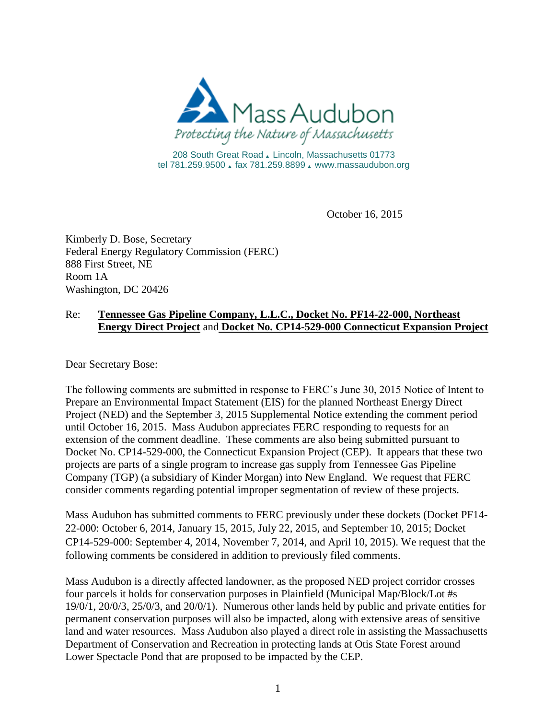

208 South Great Road . Lincoln, Massachusetts 01773 tel 781.259.9500 & fax 781.259.8899 & www.massaudubon.org

October 16, 2015

Kimberly D. Bose, Secretary Federal Energy Regulatory Commission (FERC) 888 First Street, NE Room 1A Washington, DC 20426

## Re: **Tennessee Gas Pipeline Company, L.L.C., Docket No. PF14-22-000, Northeast Energy Direct Project** and **Docket No. CP14-529-000 Connecticut Expansion Project**

Dear Secretary Bose:

The following comments are submitted in response to FERC's June 30, 2015 Notice of Intent to Prepare an Environmental Impact Statement (EIS) for the planned Northeast Energy Direct Project (NED) and the September 3, 2015 Supplemental Notice extending the comment period until October 16, 2015. Mass Audubon appreciates FERC responding to requests for an extension of the comment deadline. These comments are also being submitted pursuant to Docket No. CP14-529-000, the Connecticut Expansion Project (CEP). It appears that these two projects are parts of a single program to increase gas supply from Tennessee Gas Pipeline Company (TGP) (a subsidiary of Kinder Morgan) into New England. We request that FERC consider comments regarding potential improper segmentation of review of these projects.

Mass Audubon has submitted comments to FERC previously under these dockets (Docket PF14- 22-000: October 6, 2014, January 15, 2015, July 22, 2015, and September 10, 2015; Docket CP14-529-000: September 4, 2014, November 7, 2014, and April 10, 2015). We request that the following comments be considered in addition to previously filed comments.

Mass Audubon is a directly affected landowner, as the proposed NED project corridor crosses four parcels it holds for conservation purposes in Plainfield (Municipal Map/Block/Lot #s 19/0/1, 20/0/3, 25/0/3, and 20/0/1). Numerous other lands held by public and private entities for permanent conservation purposes will also be impacted, along with extensive areas of sensitive land and water resources. Mass Audubon also played a direct role in assisting the Massachusetts Department of Conservation and Recreation in protecting lands at Otis State Forest around Lower Spectacle Pond that are proposed to be impacted by the CEP.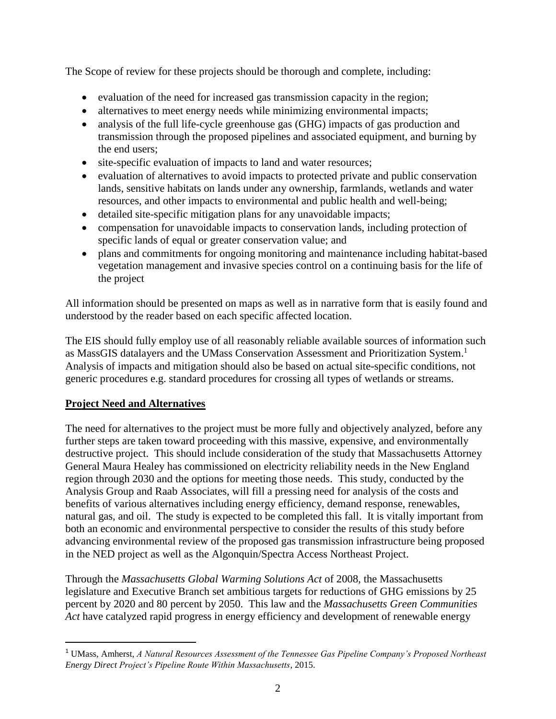The Scope of review for these projects should be thorough and complete, including:

- evaluation of the need for increased gas transmission capacity in the region;
- alternatives to meet energy needs while minimizing environmental impacts;
- analysis of the full life-cycle greenhouse gas (GHG) impacts of gas production and transmission through the proposed pipelines and associated equipment, and burning by the end users;
- site-specific evaluation of impacts to land and water resources;
- evaluation of alternatives to avoid impacts to protected private and public conservation lands, sensitive habitats on lands under any ownership, farmlands, wetlands and water resources, and other impacts to environmental and public health and well-being;
- detailed site-specific mitigation plans for any unavoidable impacts;
- compensation for unavoidable impacts to conservation lands, including protection of specific lands of equal or greater conservation value; and
- plans and commitments for ongoing monitoring and maintenance including habitat-based vegetation management and invasive species control on a continuing basis for the life of the project

All information should be presented on maps as well as in narrative form that is easily found and understood by the reader based on each specific affected location.

The EIS should fully employ use of all reasonably reliable available sources of information such as MassGIS datalayers and the UMass Conservation Assessment and Prioritization System. 1 Analysis of impacts and mitigation should also be based on actual site-specific conditions, not generic procedures e.g. standard procedures for crossing all types of wetlands or streams.

# **Project Need and Alternatives**

 $\overline{\phantom{a}}$ 

The need for alternatives to the project must be more fully and objectively analyzed, before any further steps are taken toward proceeding with this massive, expensive, and environmentally destructive project. This should include consideration of the study that Massachusetts Attorney General Maura Healey has commissioned on electricity reliability needs in the New England region through 2030 and the options for meeting those needs. This study, conducted by the Analysis Group and Raab Associates, will fill a pressing need for analysis of the costs and benefits of various alternatives including energy efficiency, demand response, renewables, natural gas, and oil. The study is expected to be completed this fall. It is vitally important from both an economic and environmental perspective to consider the results of this study before advancing environmental review of the proposed gas transmission infrastructure being proposed in the NED project as well as the Algonquin/Spectra Access Northeast Project.

Through the *Massachusetts Global Warming Solutions Act* of 2008, the Massachusetts legislature and Executive Branch set ambitious targets for reductions of GHG emissions by 25 percent by 2020 and 80 percent by 2050. This law and the *Massachusetts Green Communities Act* have catalyzed rapid progress in energy efficiency and development of renewable energy

<sup>1</sup> UMass, Amherst, *A Natural Resources Assessment of the Tennessee Gas Pipeline Company's Proposed Northeast Energy Direct Project's Pipeline Route Within Massachusetts*, 2015.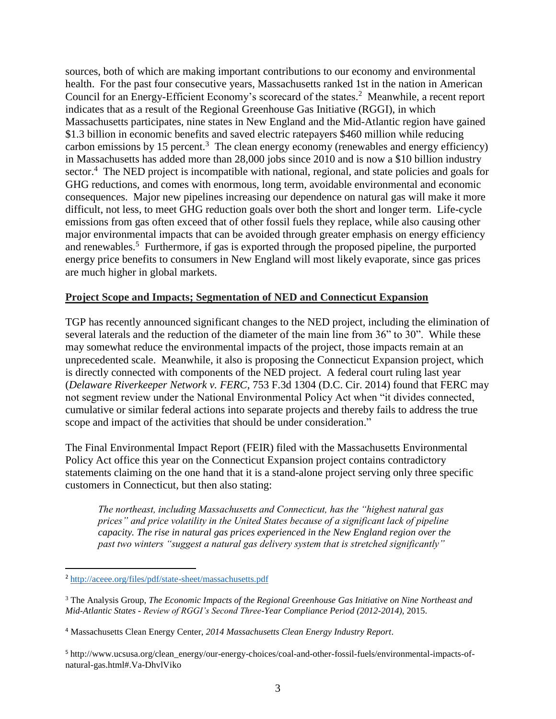sources, both of which are making important contributions to our economy and environmental health. For the past four consecutive years, Massachusetts ranked 1st in the nation in American Council for an Energy-Efficient Economy's scorecard of the states. 2 Meanwhile, a recent report indicates that as a result of the Regional Greenhouse Gas Initiative (RGGI), in which Massachusetts participates, nine states in New England and the Mid-Atlantic region have gained \$1.3 billion in economic benefits and saved electric ratepayers \$460 million while reducing carbon emissions by 15 percent.<sup>3</sup> The clean energy economy (renewables and energy efficiency) in Massachusetts has added more than 28,000 jobs since 2010 and is now a \$10 billion industry sector.<sup>4</sup> The NED project is incompatible with national, regional, and state policies and goals for GHG reductions, and comes with enormous, long term, avoidable environmental and economic consequences. Major new pipelines increasing our dependence on natural gas will make it more difficult, not less, to meet GHG reduction goals over both the short and longer term. Life-cycle emissions from gas often exceed that of other fossil fuels they replace, while also causing other major environmental impacts that can be avoided through greater emphasis on energy efficiency and renewables.<sup>5</sup> Furthermore, if gas is exported through the proposed pipeline, the purported energy price benefits to consumers in New England will most likely evaporate, since gas prices are much higher in global markets.

### **Project Scope and Impacts; Segmentation of NED and Connecticut Expansion**

TGP has recently announced significant changes to the NED project, including the elimination of several laterals and the reduction of the diameter of the main line from 36" to 30". While these may somewhat reduce the environmental impacts of the project, those impacts remain at an unprecedented scale. Meanwhile, it also is proposing the Connecticut Expansion project, which is directly connected with components of the NED project. A federal court ruling last year (*Delaware Riverkeeper Network v. FERC*, 753 F.3d 1304 (D.C. Cir. 2014) found that FERC may not segment review under the National Environmental Policy Act when "it divides connected, cumulative or similar federal actions into separate projects and thereby fails to address the true scope and impact of the activities that should be under consideration."

The Final Environmental Impact Report (FEIR) filed with the Massachusetts Environmental Policy Act office this year on the Connecticut Expansion project contains contradictory statements claiming on the one hand that it is a stand-alone project serving only three specific customers in Connecticut, but then also stating:

*The northeast, including Massachusetts and Connecticut, has the "highest natural gas prices" and price volatility in the United States because of a significant lack of pipeline capacity. The rise in natural gas prices experienced in the New England region over the past two winters "suggest a natural gas delivery system that is stretched significantly"* 

 $\overline{\phantom{a}}$ 

<sup>2</sup> <http://aceee.org/files/pdf/state-sheet/massachusetts.pdf>

<sup>3</sup> The Analysis Group, *The Economic Impacts of the Regional Greenhouse Gas Initiative on Nine Northeast and Mid-Atlantic States - Review of RGGI's Second Three-Year Compliance Period (2012-2014)*, 2015.

<sup>4</sup> Massachusetts Clean Energy Center, *2014 Massachusetts Clean Energy Industry Report*.

<sup>5</sup> http://www.ucsusa.org/clean\_energy/our-energy-choices/coal-and-other-fossil-fuels/environmental-impacts-ofnatural-gas.html#.Va-DhvlViko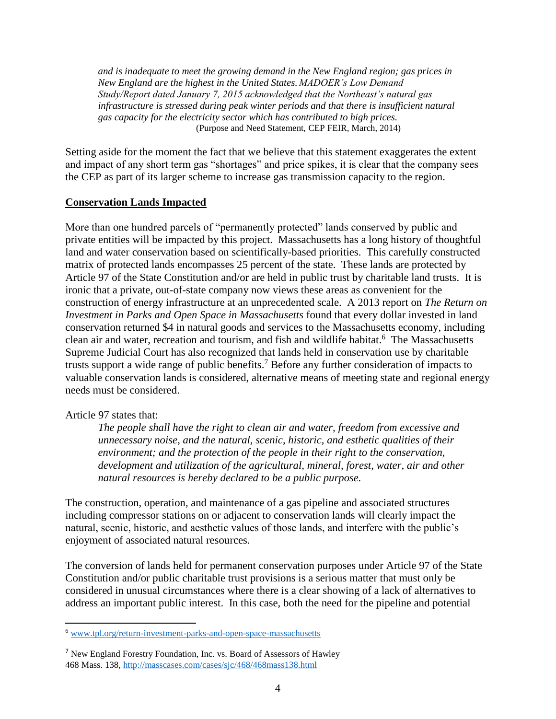*and is inadequate to meet the growing demand in the New England region; gas prices in New England are the highest in the United States. MADOER's Low Demand Study/Report dated January 7, 2015 acknowledged that the Northeast's natural gas infrastructure is stressed during peak winter periods and that there is insufficient natural gas capacity for the electricity sector which has contributed to high prices.* (Purpose and Need Statement, CEP FEIR, March, 2014)

Setting aside for the moment the fact that we believe that this statement exaggerates the extent and impact of any short term gas "shortages" and price spikes, it is clear that the company sees the CEP as part of its larger scheme to increase gas transmission capacity to the region.

#### **Conservation Lands Impacted**

More than one hundred parcels of "permanently protected" lands conserved by public and private entities will be impacted by this project. Massachusetts has a long history of thoughtful land and water conservation based on scientifically-based priorities. This carefully constructed matrix of protected lands encompasses 25 percent of the state. These lands are protected by Article 97 of the State Constitution and/or are held in public trust by charitable land trusts. It is ironic that a private, out-of-state company now views these areas as convenient for the construction of energy infrastructure at an unprecedented scale. A 2013 report on *The Return on Investment in Parks and Open Space in Massachusetts* found that every dollar invested in land conservation returned \$4 in natural goods and services to the Massachusetts economy, including clean air and water, recreation and tourism, and fish and wildlife habitat. 6 The Massachusetts Supreme Judicial Court has also recognized that lands held in conservation use by charitable trusts support a wide range of public benefits.<sup>7</sup> Before any further consideration of impacts to valuable conservation lands is considered, alternative means of meeting state and regional energy needs must be considered.

#### Article 97 states that:

 $\overline{a}$ 

*The people shall have the right to clean air and water, freedom from excessive and unnecessary noise, and the natural, scenic, historic, and esthetic qualities of their environment; and the protection of the people in their right to the conservation, development and utilization of the agricultural, mineral, forest, water, air and other natural resources is hereby declared to be a public purpose.*

The construction, operation, and maintenance of a gas pipeline and associated structures including compressor stations on or adjacent to conservation lands will clearly impact the natural, scenic, historic, and aesthetic values of those lands, and interfere with the public's enjoyment of associated natural resources.

The conversion of lands held for permanent conservation purposes under Article 97 of the State Constitution and/or public charitable trust provisions is a serious matter that must only be considered in unusual circumstances where there is a clear showing of a lack of alternatives to address an important public interest. In this case, both the need for the pipeline and potential

<sup>6</sup> [www.tpl.org/return-investment-parks-and-open-space-massachusetts](http://www.tpl.org/return-investment-parks-and-open-space-massachusetts)

<sup>7</sup> New England Forestry Foundation, Inc. vs. Board of Assessors of Hawley 468 Mass. 138[, http://masscases.com/cases/sjc/468/468mass138.html](http://masscases.com/cases/sjc/468/468mass138.html)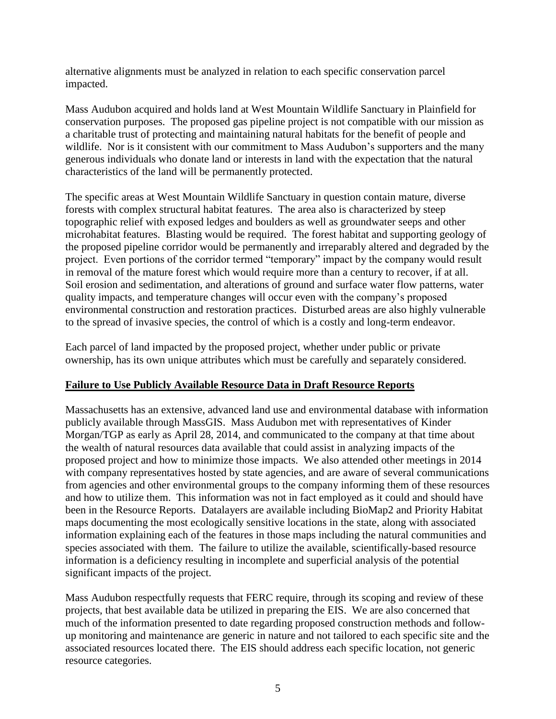alternative alignments must be analyzed in relation to each specific conservation parcel impacted.

Mass Audubon acquired and holds land at West Mountain Wildlife Sanctuary in Plainfield for conservation purposes. The proposed gas pipeline project is not compatible with our mission as a charitable trust of protecting and maintaining natural habitats for the benefit of people and wildlife. Nor is it consistent with our commitment to Mass Audubon's supporters and the many generous individuals who donate land or interests in land with the expectation that the natural characteristics of the land will be permanently protected.

The specific areas at West Mountain Wildlife Sanctuary in question contain mature, diverse forests with complex structural habitat features. The area also is characterized by steep topographic relief with exposed ledges and boulders as well as groundwater seeps and other microhabitat features. Blasting would be required. The forest habitat and supporting geology of the proposed pipeline corridor would be permanently and irreparably altered and degraded by the project. Even portions of the corridor termed "temporary" impact by the company would result in removal of the mature forest which would require more than a century to recover, if at all. Soil erosion and sedimentation, and alterations of ground and surface water flow patterns, water quality impacts, and temperature changes will occur even with the company's proposed environmental construction and restoration practices. Disturbed areas are also highly vulnerable to the spread of invasive species, the control of which is a costly and long-term endeavor.

Each parcel of land impacted by the proposed project, whether under public or private ownership, has its own unique attributes which must be carefully and separately considered.

## **Failure to Use Publicly Available Resource Data in Draft Resource Reports**

Massachusetts has an extensive, advanced land use and environmental database with information publicly available through MassGIS. Mass Audubon met with representatives of Kinder Morgan/TGP as early as April 28, 2014, and communicated to the company at that time about the wealth of natural resources data available that could assist in analyzing impacts of the proposed project and how to minimize those impacts. We also attended other meetings in 2014 with company representatives hosted by state agencies, and are aware of several communications from agencies and other environmental groups to the company informing them of these resources and how to utilize them. This information was not in fact employed as it could and should have been in the Resource Reports. Datalayers are available including BioMap2 and Priority Habitat maps documenting the most ecologically sensitive locations in the state, along with associated information explaining each of the features in those maps including the natural communities and species associated with them. The failure to utilize the available, scientifically-based resource information is a deficiency resulting in incomplete and superficial analysis of the potential significant impacts of the project.

Mass Audubon respectfully requests that FERC require, through its scoping and review of these projects, that best available data be utilized in preparing the EIS. We are also concerned that much of the information presented to date regarding proposed construction methods and followup monitoring and maintenance are generic in nature and not tailored to each specific site and the associated resources located there. The EIS should address each specific location, not generic resource categories.